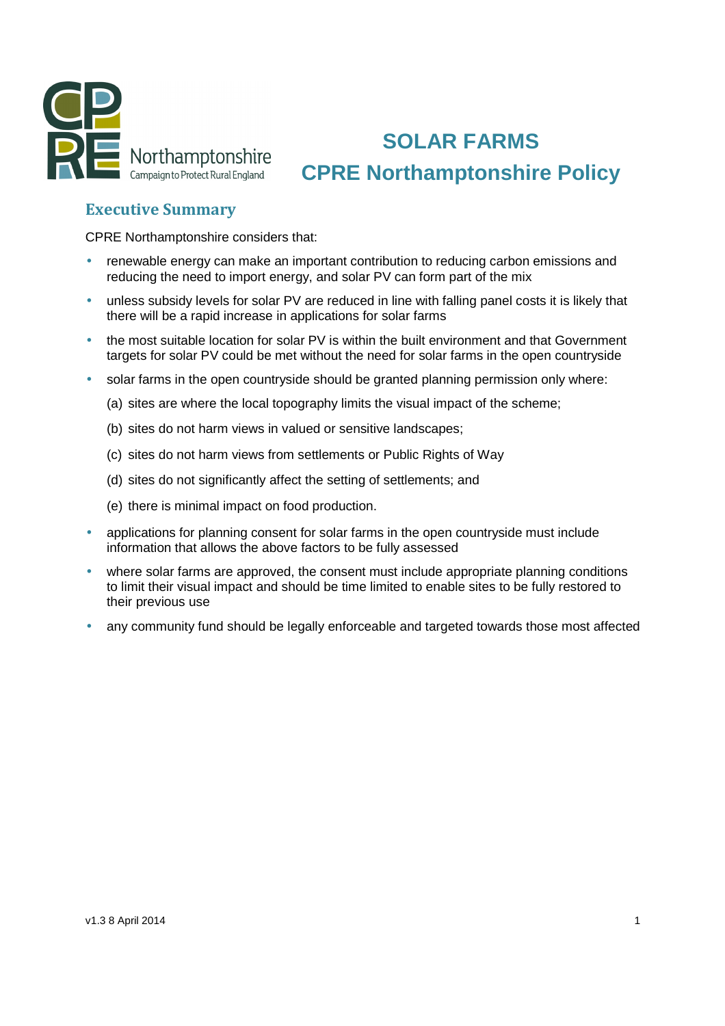

# **SOLAR FARMS CPRE Northamptonshire Policy**

## Executive Summary

CPRE Northamptonshire considers that:

- renewable energy can make an important contribution to reducing carbon emissions and reducing the need to import energy, and solar PV can form part of the mix
- unless subsidy levels for solar PV are reduced in line with falling panel costs it is likely that there will be a rapid increase in applications for solar farms
- the most suitable location for solar PV is within the built environment and that Government targets for solar PV could be met without the need for solar farms in the open countryside
- solar farms in the open countryside should be granted planning permission only where:
	- (a) sites are where the local topography limits the visual impact of the scheme;
	- (b) sites do not harm views in valued or sensitive landscapes;
	- (c) sites do not harm views from settlements or Public Rights of Way
	- (d) sites do not significantly affect the setting of settlements; and
	- (e) there is minimal impact on food production.
- applications for planning consent for solar farms in the open countryside must include information that allows the above factors to be fully assessed
- where solar farms are approved, the consent must include appropriate planning conditions to limit their visual impact and should be time limited to enable sites to be fully restored to their previous use
- any community fund should be legally enforceable and targeted towards those most affected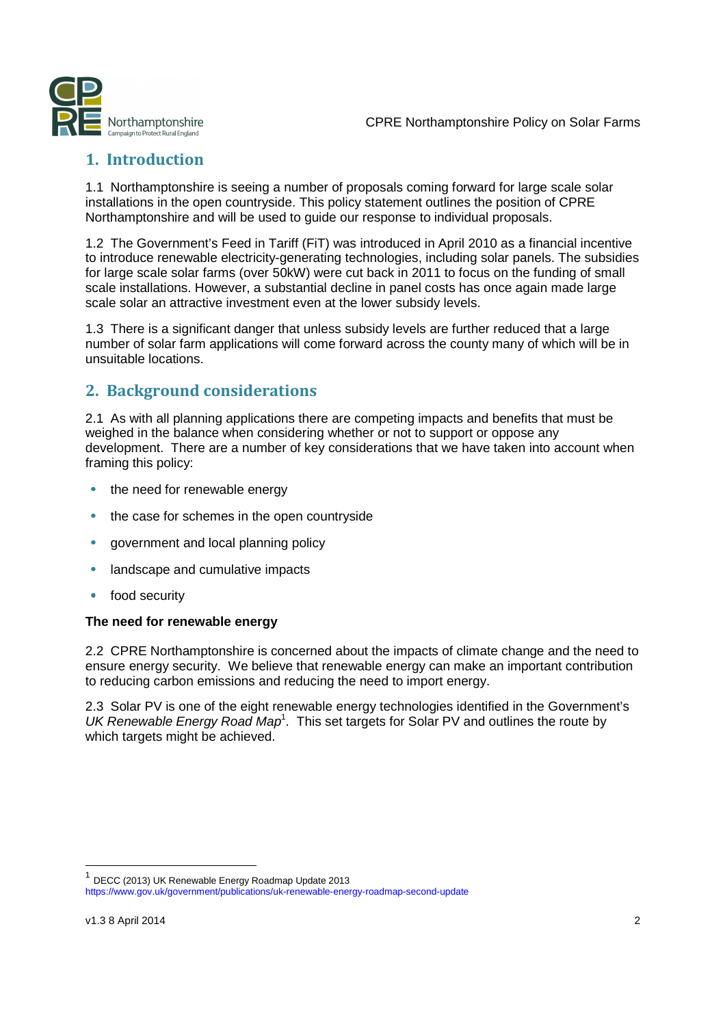

## 1. Introduction

1.1 Northamptonshire is seeing a number of proposals coming forward for large scale solar installations in the open countryside. This policy statement outlines the position of CPRE Northamptonshire and will be used to guide our response to individual proposals.

1.2 The Government's Feed in Tariff (FiT) was introduced in April 2010 as a financial incentive to introduce renewable electricity-generating technologies, including solar panels. The subsidies for large scale solar farms (over 50kW) were cut back in 2011 to focus on the funding of small scale installations. However, a substantial decline in panel costs has once again made large scale solar an attractive investment even at the lower subsidy levels.

1.3 There is a significant danger that unless subsidy levels are further reduced that a large number of solar farm applications will come forward across the county many of which will be in unsuitable locations.

## 2. Background considerations

2.1 As with all planning applications there are competing impacts and benefits that must be weighed in the balance when considering whether or not to support or oppose any development. There are a number of key considerations that we have taken into account when framing this policy:

- the need for renewable energy
- the case for schemes in the open countryside
- government and local planning policy
- landscape and cumulative impacts
- food security

#### **The need for renewable energy**

2.2 CPRE Northamptonshire is concerned about the impacts of climate change and the need to ensure energy security. We believe that renewable energy can make an important contribution to reducing carbon emissions and reducing the need to import energy.

2.3 Solar PV is one of the eight renewable energy technologies identified in the Government's UK Renewable Energy Road Map<sup>1</sup>. This set targets for Solar PV and outlines the route by which targets might be achieved.

1

<sup>&</sup>lt;sup>1</sup> DECC (2013) UK Renewable Energy Roadmap Update 2013

https://www.gov.uk/government/publications/uk-renewable-energy-roadmap-second-update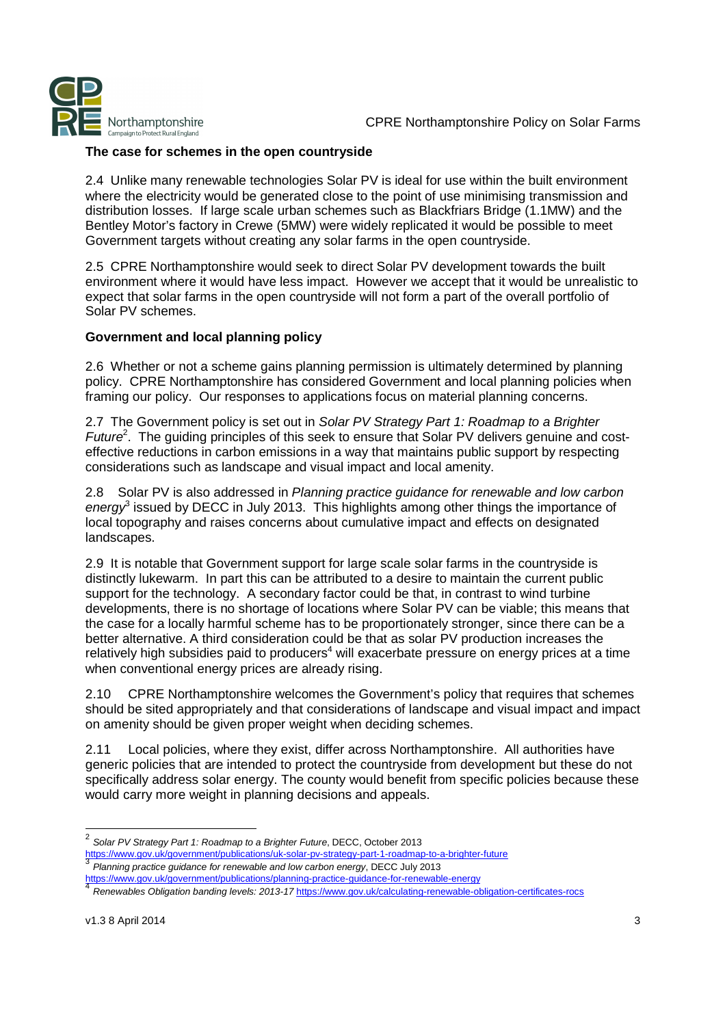

#### **The case for schemes in the open countryside**

2.4 Unlike many renewable technologies Solar PV is ideal for use within the built environment where the electricity would be generated close to the point of use minimising transmission and distribution losses. If large scale urban schemes such as Blackfriars Bridge (1.1MW) and the Bentley Motor's factory in Crewe (5MW) were widely replicated it would be possible to meet Government targets without creating any solar farms in the open countryside.

2.5 CPRE Northamptonshire would seek to direct Solar PV development towards the built environment where it would have less impact. However we accept that it would be unrealistic to expect that solar farms in the open countryside will not form a part of the overall portfolio of Solar PV schemes.

#### **Government and local planning policy**

2.6 Whether or not a scheme gains planning permission is ultimately determined by planning policy. CPRE Northamptonshire has considered Government and local planning policies when framing our policy. Our responses to applications focus on material planning concerns.

2.7 The Government policy is set out in Solar PV Strategy Part 1: Roadmap to a Brighter Future<sup>2</sup>. The guiding principles of this seek to ensure that Solar PV delivers genuine and costeffective reductions in carbon emissions in a way that maintains public support by respecting considerations such as landscape and visual impact and local amenity.

2.8 Solar PV is also addressed in Planning practice guidance for renewable and low carbon energy<sup>3</sup> issued by DECC in July 2013. This highlights among other things the importance of local topography and raises concerns about cumulative impact and effects on designated landscapes.

2.9 It is notable that Government support for large scale solar farms in the countryside is distinctly lukewarm. In part this can be attributed to a desire to maintain the current public support for the technology. A secondary factor could be that, in contrast to wind turbine developments, there is no shortage of locations where Solar PV can be viable; this means that the case for a locally harmful scheme has to be proportionately stronger, since there can be a better alternative. A third consideration could be that as solar PV production increases the relatively high subsidies paid to producers<sup>4</sup> will exacerbate pressure on energy prices at a time when conventional energy prices are already rising.

2.10 CPRE Northamptonshire welcomes the Government's policy that requires that schemes should be sited appropriately and that considerations of landscape and visual impact and impact on amenity should be given proper weight when deciding schemes.

2.11 Local policies, where they exist, differ across Northamptonshire. All authorities have generic policies that are intended to protect the countryside from development but these do not specifically address solar energy. The county would benefit from specific policies because these would carry more weight in planning decisions and appeals.

 $\frac{1}{2}$ Solar PV Strategy Part 1: Roadmap to a Brighter Future, DECC, October 2013

https://www.gov.uk/government/publications/uk-solar-pv-strategy-part-1-roadmap-to-a-brighter-future 3

Planning practice guidance for renewable and low carbon energy, DECC July 2013 https://www.gov.uk/government/publications/planning-practice-guidance-for-renewable-energy 4

Renewables Obligation banding levels: 2013-17 https://www.gov.uk/calculating-renewable-obligation-certificates-rocs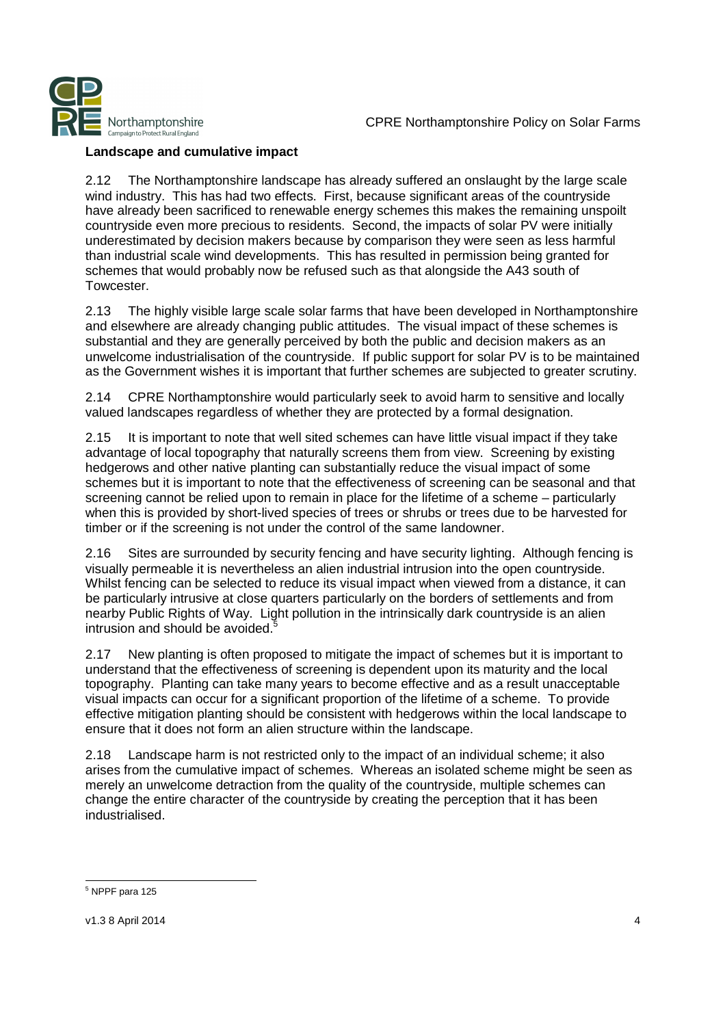

### **Landscape and cumulative impact**

2.12 The Northamptonshire landscape has already suffered an onslaught by the large scale wind industry. This has had two effects. First, because significant areas of the countryside have already been sacrificed to renewable energy schemes this makes the remaining unspoilt countryside even more precious to residents. Second, the impacts of solar PV were initially underestimated by decision makers because by comparison they were seen as less harmful than industrial scale wind developments. This has resulted in permission being granted for schemes that would probably now be refused such as that alongside the A43 south of Towcester.

2.13 The highly visible large scale solar farms that have been developed in Northamptonshire and elsewhere are already changing public attitudes. The visual impact of these schemes is substantial and they are generally perceived by both the public and decision makers as an unwelcome industrialisation of the countryside. If public support for solar PV is to be maintained as the Government wishes it is important that further schemes are subjected to greater scrutiny.

2.14 CPRE Northamptonshire would particularly seek to avoid harm to sensitive and locally valued landscapes regardless of whether they are protected by a formal designation.

2.15 It is important to note that well sited schemes can have little visual impact if they take advantage of local topography that naturally screens them from view. Screening by existing hedgerows and other native planting can substantially reduce the visual impact of some schemes but it is important to note that the effectiveness of screening can be seasonal and that screening cannot be relied upon to remain in place for the lifetime of a scheme – particularly when this is provided by short-lived species of trees or shrubs or trees due to be harvested for timber or if the screening is not under the control of the same landowner.

2.16 Sites are surrounded by security fencing and have security lighting. Although fencing is visually permeable it is nevertheless an alien industrial intrusion into the open countryside. Whilst fencing can be selected to reduce its visual impact when viewed from a distance, it can be particularly intrusive at close quarters particularly on the borders of settlements and from nearby Public Rights of Way. Light pollution in the intrinsically dark countryside is an alien intrusion and should be avoided.

2.17 New planting is often proposed to mitigate the impact of schemes but it is important to understand that the effectiveness of screening is dependent upon its maturity and the local topography. Planting can take many years to become effective and as a result unacceptable visual impacts can occur for a significant proportion of the lifetime of a scheme. To provide effective mitigation planting should be consistent with hedgerows within the local landscape to ensure that it does not form an alien structure within the landscape.

2.18 Landscape harm is not restricted only to the impact of an individual scheme; it also arises from the cumulative impact of schemes. Whereas an isolated scheme might be seen as merely an unwelcome detraction from the quality of the countryside, multiple schemes can change the entire character of the countryside by creating the perception that it has been industrialised.

<sup>1</sup> 5 NPPF para 125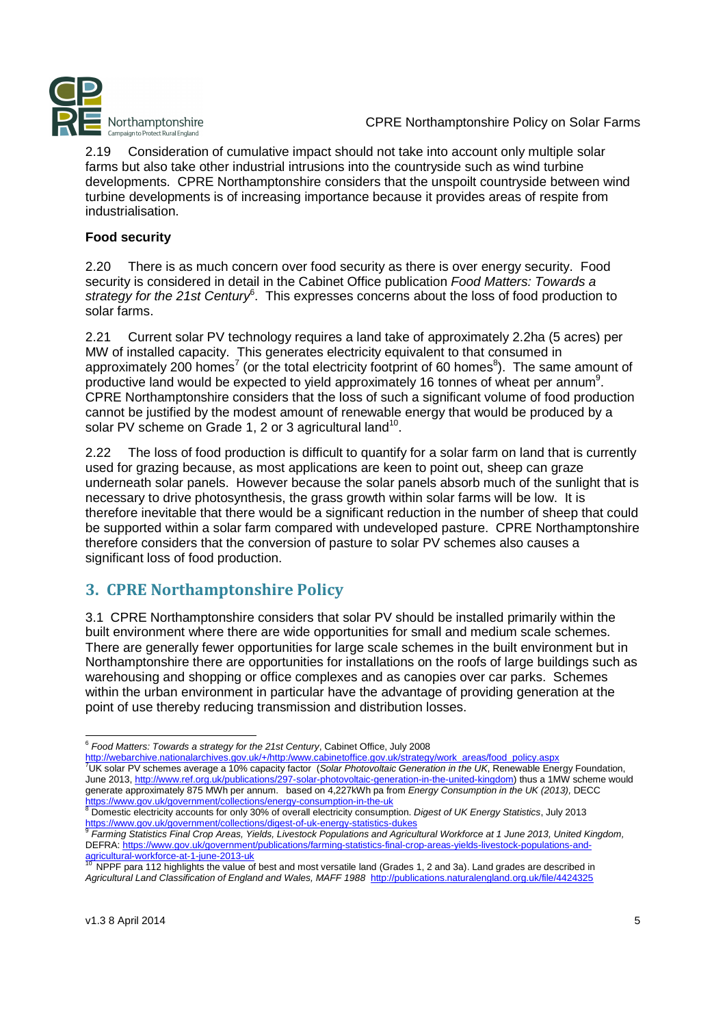

2.19 Consideration of cumulative impact should not take into account only multiple solar farms but also take other industrial intrusions into the countryside such as wind turbine developments. CPRE Northamptonshire considers that the unspoilt countryside between wind turbine developments is of increasing importance because it provides areas of respite from industrialisation.

#### **Food security**

2.20 There is as much concern over food security as there is over energy security. Food security is considered in detail in the Cabinet Office publication Food Matters: Towards a strategy for the 21st Century<sup>6</sup>. This expresses concerns about the loss of food production to solar farms.

2.21 Current solar PV technology requires a land take of approximately 2.2ha (5 acres) per MW of installed capacity. This generates electricity equivalent to that consumed in approximately 200 homes<sup>7</sup> (or the total electricity footprint of 60 homes<sup>8</sup>). The same amount of productive land would be expected to yield approximately 16 tonnes of wheat per annum<sup>9</sup>. CPRE Northamptonshire considers that the loss of such a significant volume of food production cannot be justified by the modest amount of renewable energy that would be produced by a solar PV scheme on Grade 1, 2 or 3 agricultural land<sup>10</sup>.

2.22 The loss of food production is difficult to quantify for a solar farm on land that is currently used for grazing because, as most applications are keen to point out, sheep can graze underneath solar panels. However because the solar panels absorb much of the sunlight that is necessary to drive photosynthesis, the grass growth within solar farms will be low. It is therefore inevitable that there would be a significant reduction in the number of sheep that could be supported within a solar farm compared with undeveloped pasture. CPRE Northamptonshire therefore considers that the conversion of pasture to solar PV schemes also causes a significant loss of food production.

## 3. CPRE Northamptonshire Policy

3.1 CPRE Northamptonshire considers that solar PV should be installed primarily within the built environment where there are wide opportunities for small and medium scale schemes. There are generally fewer opportunities for large scale schemes in the built environment but in Northamptonshire there are opportunities for installations on the roofs of large buildings such as warehousing and shopping or office complexes and as canopies over car parks. Schemes within the urban environment in particular have the advantage of providing generation at the point of use thereby reducing transmission and distribution losses.

<u>https://www.gov.uk/government/collections/energy-consumption-in-the-uk</u><br><sup>8</sup> Domestic electricity accounts for only 30% of overall electricity consumption. *Digest of UK Energy Statistics*, July 2013 https://www.gov.uk/government/collections/digest-of-uk-energy-statistics-dukes 9

<sup>1</sup> <sup>6</sup> Food Matters: Towards a strategy for the 21st Century, Cabinet Office, July 2008

<sup>&</sup>lt;u>http://webarchive.nationalarchives.gov.uk/+/http:/www.cabinetoffice.gov.uk/strategy/work\_areas/food\_policy.aspx</u><br><sup>7</sup>UK solar PV schemes average a 10% capacity factor (S*olar Photovoltaic Generation in the UK*, Renewable E June 2013, http://www.ref.org.uk/publications/297-solar-photovoltaic-generation-in-the-united-kingdom) thus a 1MW scheme would generate approximately 875 MWh per annum. based on 4,227kWh pa from Energy Consumption in the UK (2013), DECC

Farming Statistics Final Crop Areas, Yields, Livestock Populations and Agricultural Workforce at 1 June 2013, United Kingdom, DEFRA: https://www.gov.uk/government/publications/farming-statistics-final-crop-areas-yields-livestock-populations-andagricultural-workforce-at-1-june-2013-uk

NPPF para 112 highlights the value of best and most versatile land (Grades 1, 2 and 3a). Land grades are described in Agricultural Land Classification of England and Wales, MAFF 1988 http://publications.naturalengland.org.uk/file/44243.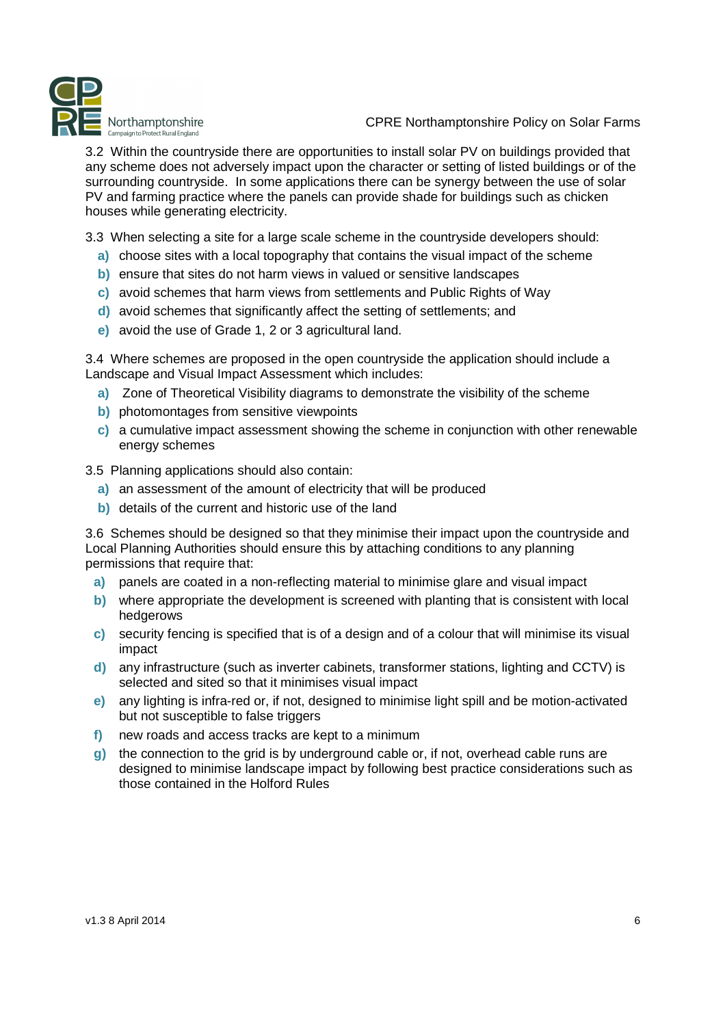

3.2 Within the countryside there are opportunities to install solar PV on buildings provided that any scheme does not adversely impact upon the character or setting of listed buildings or of the surrounding countryside. In some applications there can be synergy between the use of solar PV and farming practice where the panels can provide shade for buildings such as chicken houses while generating electricity.

3.3 When selecting a site for a large scale scheme in the countryside developers should:

- **a)** choose sites with a local topography that contains the visual impact of the scheme
- **b)** ensure that sites do not harm views in valued or sensitive landscapes
- **c)** avoid schemes that harm views from settlements and Public Rights of Way
- **d)** avoid schemes that significantly affect the setting of settlements; and
- **e)** avoid the use of Grade 1, 2 or 3 agricultural land.

3.4 Where schemes are proposed in the open countryside the application should include a Landscape and Visual Impact Assessment which includes:

- **a)** Zone of Theoretical Visibility diagrams to demonstrate the visibility of the scheme
- **b)** photomontages from sensitive viewpoints
- **c)** a cumulative impact assessment showing the scheme in conjunction with other renewable energy schemes

3.5 Planning applications should also contain:

- **a)** an assessment of the amount of electricity that will be produced
- **b)** details of the current and historic use of the land

3.6 Schemes should be designed so that they minimise their impact upon the countryside and Local Planning Authorities should ensure this by attaching conditions to any planning permissions that require that:

- **a)** panels are coated in a non-reflecting material to minimise glare and visual impact
- **b)** where appropriate the development is screened with planting that is consistent with local hedgerows
- **c)** security fencing is specified that is of a design and of a colour that will minimise its visual impact
- **d)** any infrastructure (such as inverter cabinets, transformer stations, lighting and CCTV) is selected and sited so that it minimises visual impact
- **e)** any lighting is infra-red or, if not, designed to minimise light spill and be motion-activated but not susceptible to false triggers
- **f)** new roads and access tracks are kept to a minimum
- **g)** the connection to the grid is by underground cable or, if not, overhead cable runs are designed to minimise landscape impact by following best practice considerations such as those contained in the Holford Rules